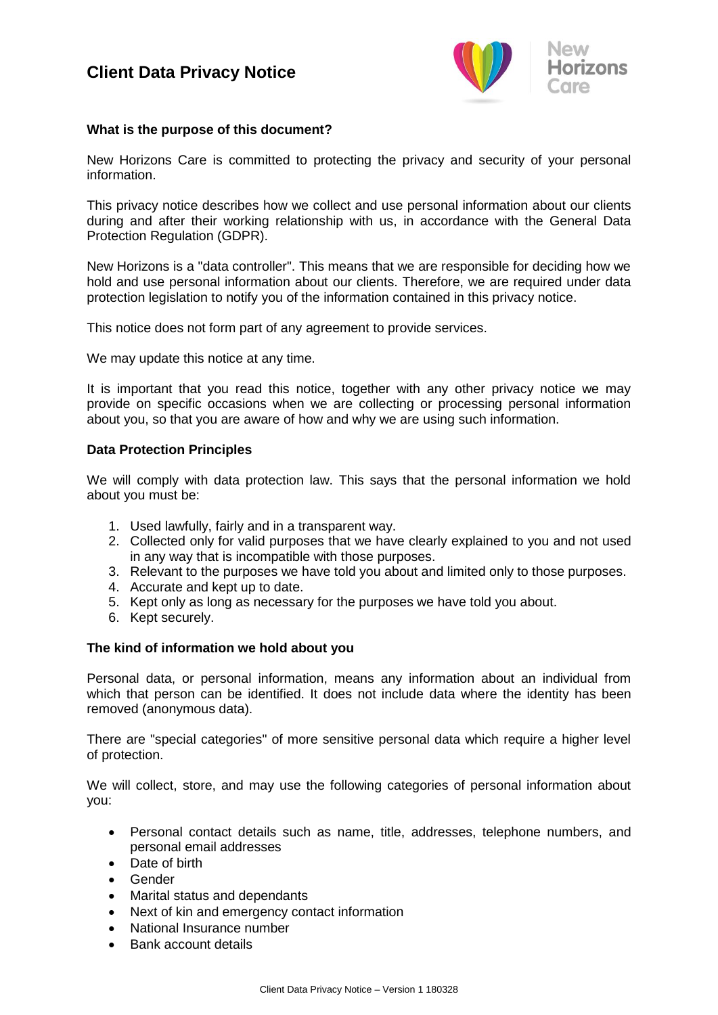

## **What is the purpose of this document?**

New Horizons Care is committed to protecting the privacy and security of your personal information.

This privacy notice describes how we collect and use personal information about our clients during and after their working relationship with us, in accordance with the General Data Protection Regulation (GDPR).

New Horizons is a "data controller". This means that we are responsible for deciding how we hold and use personal information about our clients. Therefore, we are required under data protection legislation to notify you of the information contained in this privacy notice.

This notice does not form part of any agreement to provide services.

We may update this notice at any time.

It is important that you read this notice, together with any other privacy notice we may provide on specific occasions when we are collecting or processing personal information about you, so that you are aware of how and why we are using such information.

#### **Data Protection Principles**

We will comply with data protection law. This says that the personal information we hold about you must be:

- 1. Used lawfully, fairly and in a transparent way.
- 2. Collected only for valid purposes that we have clearly explained to you and not used in any way that is incompatible with those purposes.
- 3. Relevant to the purposes we have told you about and limited only to those purposes.
- 4. Accurate and kept up to date.
- 5. Kept only as long as necessary for the purposes we have told you about.
- 6. Kept securely.

#### **The kind of information we hold about you**

Personal data, or personal information, means any information about an individual from which that person can be identified. It does not include data where the identity has been removed (anonymous data).

There are "special categories" of more sensitive personal data which require a higher level of protection.

We will collect, store, and may use the following categories of personal information about you:

- Personal contact details such as name, title, addresses, telephone numbers, and personal email addresses
- Date of birth
- Gender
- Marital status and dependants
- Next of kin and emergency contact information
- National Insurance number
- Bank account details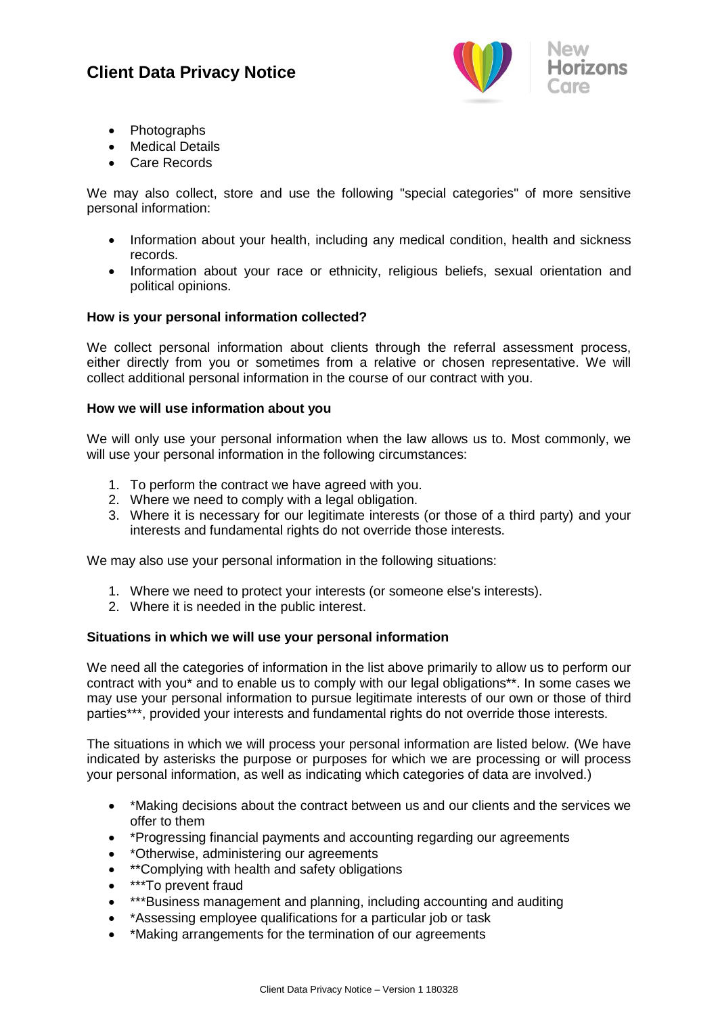

- Photographs
- Medical Details
- Care Records

We may also collect, store and use the following "special categories" of more sensitive personal information:

- Information about your health, including any medical condition, health and sickness records.
- Information about your race or ethnicity, religious beliefs, sexual orientation and political opinions.

## **How is your personal information collected?**

We collect personal information about clients through the referral assessment process, either directly from you or sometimes from a relative or chosen representative. We will collect additional personal information in the course of our contract with you.

## **How we will use information about you**

We will only use your personal information when the law allows us to. Most commonly, we will use your personal information in the following circumstances:

- 1. To perform the contract we have agreed with you.
- 2. Where we need to comply with a legal obligation.
- 3. Where it is necessary for our legitimate interests (or those of a third party) and your interests and fundamental rights do not override those interests.

We may also use your personal information in the following situations:

- 1. Where we need to protect your interests (or someone else's interests).
- 2. Where it is needed in the public interest.

#### **Situations in which we will use your personal information**

We need all the categories of information in the list above primarily to allow us to perform our contract with you\* and to enable us to comply with our legal obligations\*\*. In some cases we may use your personal information to pursue legitimate interests of our own or those of third parties\*\*\*, provided your interests and fundamental rights do not override those interests.

The situations in which we will process your personal information are listed below. (We have indicated by asterisks the purpose or purposes for which we are processing or will process your personal information, as well as indicating which categories of data are involved.)

- \*Making decisions about the contract between us and our clients and the services we offer to them
- \*Progressing financial payments and accounting regarding our agreements
- \*Otherwise, administering our agreements
- **\*\*Complying with health and safety obligations**
- \*\*\*To prevent fraud
- \*\*\*Business management and planning, including accounting and auditing
- \*Assessing employee qualifications for a particular job or task
- \*Making arrangements for the termination of our agreements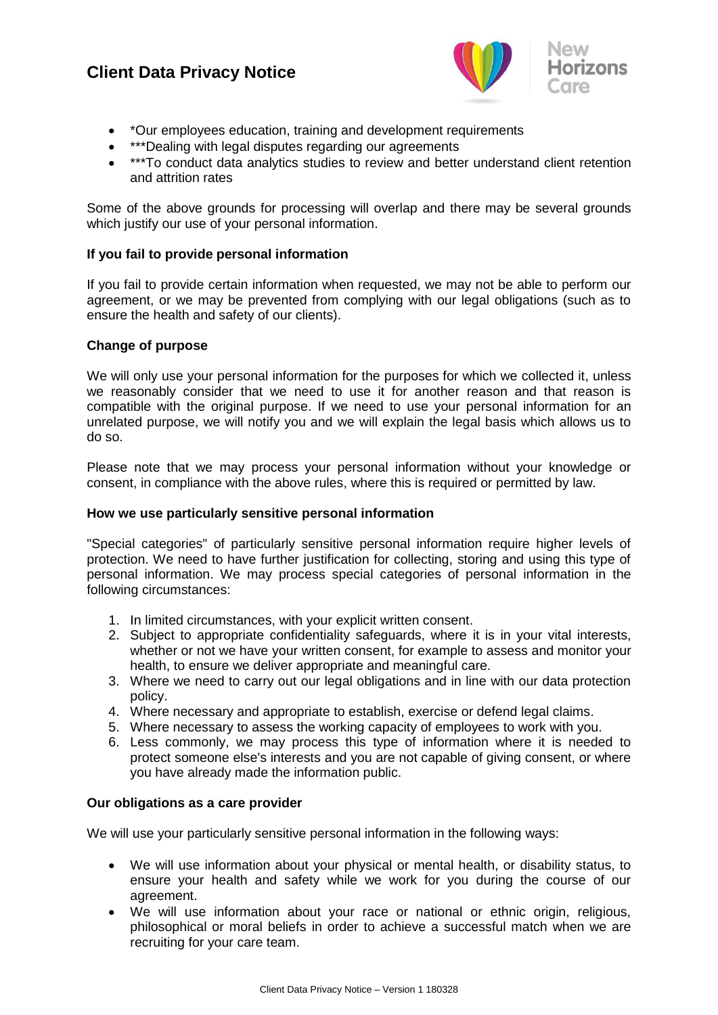

- \*Our employees education, training and development requirements
- \*\*\*Dealing with legal disputes regarding our agreements
- \*\*\*To conduct data analytics studies to review and better understand client retention and attrition rates

Some of the above grounds for processing will overlap and there may be several grounds which justify our use of your personal information.

## **If you fail to provide personal information**

If you fail to provide certain information when requested, we may not be able to perform our agreement, or we may be prevented from complying with our legal obligations (such as to ensure the health and safety of our clients).

## **Change of purpose**

We will only use your personal information for the purposes for which we collected it, unless we reasonably consider that we need to use it for another reason and that reason is compatible with the original purpose. If we need to use your personal information for an unrelated purpose, we will notify you and we will explain the legal basis which allows us to do so.

Please note that we may process your personal information without your knowledge or consent, in compliance with the above rules, where this is required or permitted by law.

#### **How we use particularly sensitive personal information**

"Special categories" of particularly sensitive personal information require higher levels of protection. We need to have further justification for collecting, storing and using this type of personal information. We may process special categories of personal information in the following circumstances:

- 1. In limited circumstances, with your explicit written consent.
- 2. Subject to appropriate confidentiality safeguards, where it is in your vital interests, whether or not we have your written consent, for example to assess and monitor your health, to ensure we deliver appropriate and meaningful care.
- 3. Where we need to carry out our legal obligations and in line with our data protection policy.
- 4. Where necessary and appropriate to establish, exercise or defend legal claims.
- 5. Where necessary to assess the working capacity of employees to work with you.
- 6. Less commonly, we may process this type of information where it is needed to protect someone else's interests and you are not capable of giving consent, or where you have already made the information public.

#### **Our obligations as a care provider**

We will use your particularly sensitive personal information in the following ways:

- We will use information about your physical or mental health, or disability status, to ensure your health and safety while we work for you during the course of our agreement.
- We will use information about your race or national or ethnic origin, religious, philosophical or moral beliefs in order to achieve a successful match when we are recruiting for your care team.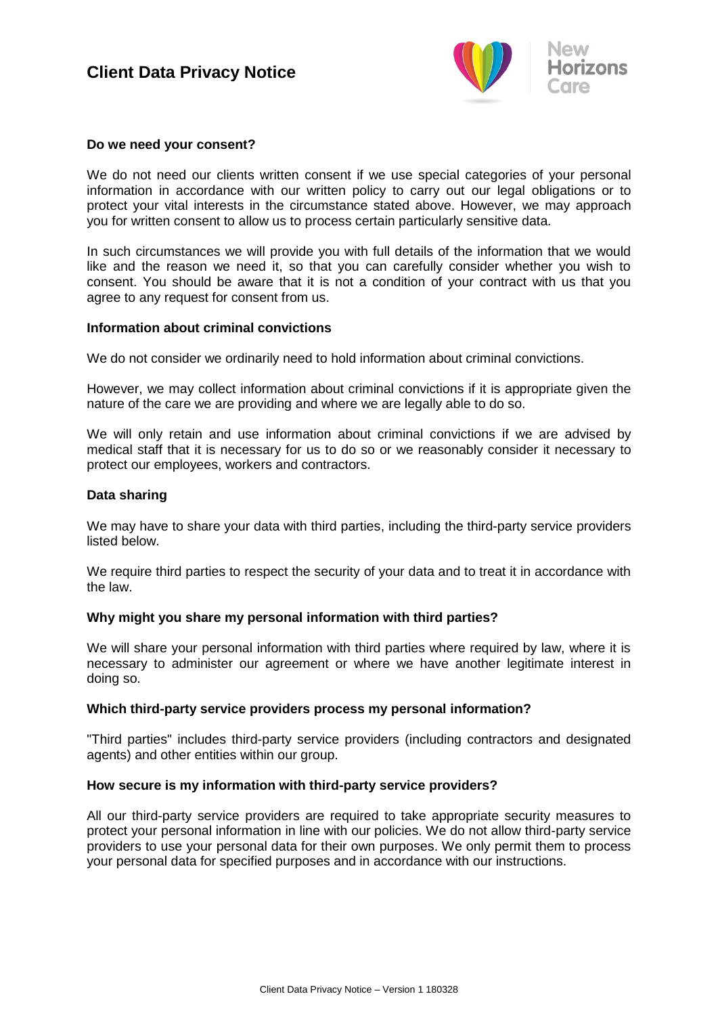

#### **Do we need your consent?**

We do not need our clients written consent if we use special categories of your personal information in accordance with our written policy to carry out our legal obligations or to protect your vital interests in the circumstance stated above. However, we may approach you for written consent to allow us to process certain particularly sensitive data.

In such circumstances we will provide you with full details of the information that we would like and the reason we need it, so that you can carefully consider whether you wish to consent. You should be aware that it is not a condition of your contract with us that you agree to any request for consent from us.

#### **Information about criminal convictions**

We do not consider we ordinarily need to hold information about criminal convictions.

However, we may collect information about criminal convictions if it is appropriate given the nature of the care we are providing and where we are legally able to do so.

We will only retain and use information about criminal convictions if we are advised by medical staff that it is necessary for us to do so or we reasonably consider it necessary to protect our employees, workers and contractors.

## **Data sharing**

We may have to share your data with third parties, including the third-party service providers listed below.

We require third parties to respect the security of your data and to treat it in accordance with the law.

## **Why might you share my personal information with third parties?**

We will share your personal information with third parties where required by law, where it is necessary to administer our agreement or where we have another legitimate interest in doing so.

#### **Which third-party service providers process my personal information?**

"Third parties" includes third-party service providers (including contractors and designated agents) and other entities within our group.

#### **How secure is my information with third-party service providers?**

All our third-party service providers are required to take appropriate security measures to protect your personal information in line with our policies. We do not allow third-party service providers to use your personal data for their own purposes. We only permit them to process your personal data for specified purposes and in accordance with our instructions.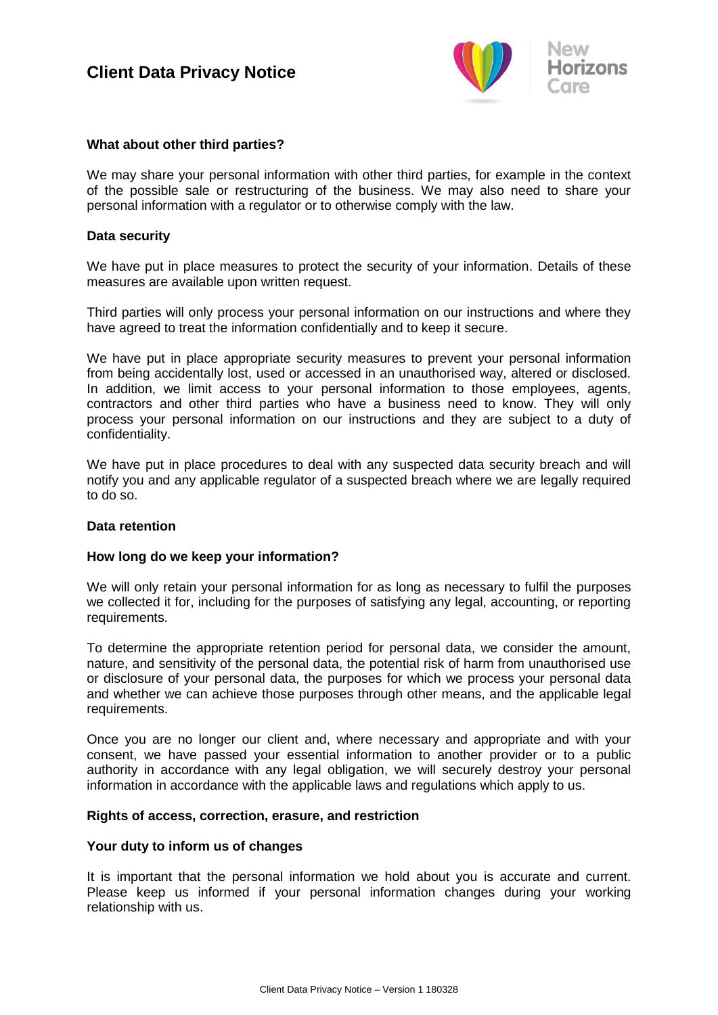

## **What about other third parties?**

We may share your personal information with other third parties, for example in the context of the possible sale or restructuring of the business. We may also need to share your personal information with a regulator or to otherwise comply with the law.

## **Data security**

We have put in place measures to protect the security of your information. Details of these measures are available upon written request.

Third parties will only process your personal information on our instructions and where they have agreed to treat the information confidentially and to keep it secure.

We have put in place appropriate security measures to prevent your personal information from being accidentally lost, used or accessed in an unauthorised way, altered or disclosed. In addition, we limit access to your personal information to those employees, agents, contractors and other third parties who have a business need to know. They will only process your personal information on our instructions and they are subject to a duty of confidentiality.

We have put in place procedures to deal with any suspected data security breach and will notify you and any applicable regulator of a suspected breach where we are legally required to do so.

#### **Data retention**

## **How long do we keep your information?**

We will only retain your personal information for as long as necessary to fulfil the purposes we collected it for, including for the purposes of satisfying any legal, accounting, or reporting requirements.

To determine the appropriate retention period for personal data, we consider the amount, nature, and sensitivity of the personal data, the potential risk of harm from unauthorised use or disclosure of your personal data, the purposes for which we process your personal data and whether we can achieve those purposes through other means, and the applicable legal requirements.

Once you are no longer our client and, where necessary and appropriate and with your consent, we have passed your essential information to another provider or to a public authority in accordance with any legal obligation, we will securely destroy your personal information in accordance with the applicable laws and regulations which apply to us.

#### **Rights of access, correction, erasure, and restriction**

#### **Your duty to inform us of changes**

It is important that the personal information we hold about you is accurate and current. Please keep us informed if your personal information changes during your working relationship with us.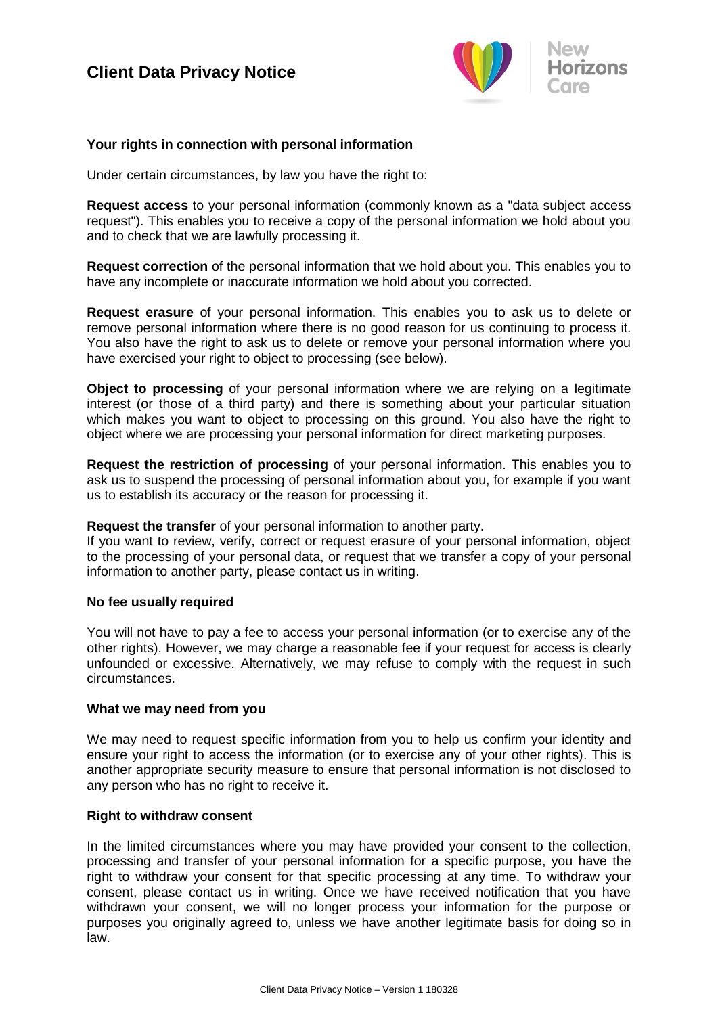

## **Your rights in connection with personal information**

Under certain circumstances, by law you have the right to:

**Request access** to your personal information (commonly known as a "data subject access request"). This enables you to receive a copy of the personal information we hold about you and to check that we are lawfully processing it.

**Request correction** of the personal information that we hold about you. This enables you to have any incomplete or inaccurate information we hold about you corrected.

**Request erasure** of your personal information. This enables you to ask us to delete or remove personal information where there is no good reason for us continuing to process it. You also have the right to ask us to delete or remove your personal information where you have exercised your right to object to processing (see below).

**Object to processing** of your personal information where we are relying on a legitimate interest (or those of a third party) and there is something about your particular situation which makes you want to object to processing on this ground. You also have the right to object where we are processing your personal information for direct marketing purposes.

**Request the restriction of processing** of your personal information. This enables you to ask us to suspend the processing of personal information about you, for example if you want us to establish its accuracy or the reason for processing it.

**Request the transfer** of your personal information to another party.

If you want to review, verify, correct or request erasure of your personal information, object to the processing of your personal data, or request that we transfer a copy of your personal information to another party, please contact us in writing.

#### **No fee usually required**

You will not have to pay a fee to access your personal information (or to exercise any of the other rights). However, we may charge a reasonable fee if your request for access is clearly unfounded or excessive. Alternatively, we may refuse to comply with the request in such circumstances.

#### **What we may need from you**

We may need to request specific information from you to help us confirm your identity and ensure your right to access the information (or to exercise any of your other rights). This is another appropriate security measure to ensure that personal information is not disclosed to any person who has no right to receive it.

#### **Right to withdraw consent**

In the limited circumstances where you may have provided your consent to the collection, processing and transfer of your personal information for a specific purpose, you have the right to withdraw your consent for that specific processing at any time. To withdraw your consent, please contact us in writing. Once we have received notification that you have withdrawn your consent, we will no longer process your information for the purpose or purposes you originally agreed to, unless we have another legitimate basis for doing so in law.